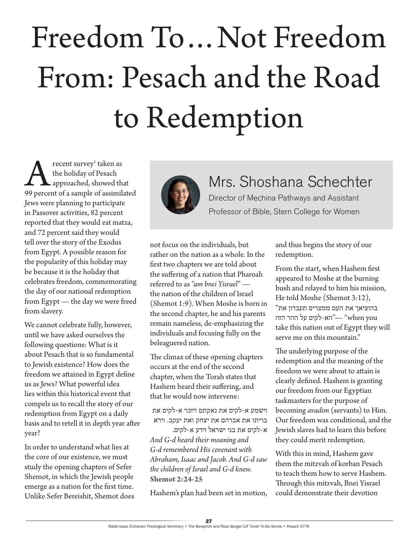## Freedom To…Not Freedom From: Pesach and the Road to Redemption

**A recent survey' taken as**<br>the holiday of Pesach<br>99 percent of a sample of assimilated recent survey<sup>1</sup> taken as the holiday of Pesach approached, showed that Jews were planning to participate in Passover activities, 82 percent reported that they would eat matza, and 72 percent said they would tell over the story of the Exodus from Egypt. A possible reason for the popularity of this holiday may be because it is the holiday that celebrates freedom, commemorating the day of our national redemption from Egypt — the day we were freed from slavery.

We cannot celebrate fully, however, until we have asked ourselves the following questions: What is it about Pesach that is so fundamental to Jewish existence? How does the freedom we attained in Egypt define us as Jews? What powerful idea lies within this historical event that compels us to recall the story of our redemption from Egypt on a daily basis and to retell it in depth year after year?

In order to understand what lies at the core of our existence, we must study the opening chapters of Sefer Shemot, in which the Jewish people emerge as a nation for the first time. Unlike Sefer Bereishit, Shemot does



## Mrs. Shoshana Schechter

Director of Mechina Pathways and Assistant Professor of Bible, Stern College for Women

not focus on the individuals, but rather on the nation as a whole. In the first two chapters we are told about the suffering of a nation that Pharoah referred to as *"am bnei Yisrael*" the nation of the children of Israel (Shemot 1:9). When Moshe is born in the second chapter, he and his parents remain nameless, de-emphasizing the individuals and focusing fully on the beleaguered nation.

The climax of these opening chapters occurs at the end of the second chapter, when the Torah states that Hashem heard their suffering, and that he would now intervene:

וישמע א-לקים את נאקתם ויזכר א-לקים את בריתו את אברהם את יצחק ואת יעקב. וירא

א-לקים את בני ישראל וידע א-לקים. *And G-d heard their moaning and G-d remembered His covenant with Abraham, Isaac and Jacob. And G-d saw the children of Israel and G-d knew.* **Shemot 2:24-25**

Hashem's plan had been set in motion,

and thus begins the story of our redemption.

From the start, when Hashem first appeared to Moshe at the burning bush and relayed to him his mission, He told Moshe (Shemot 3:12), בהוציאך את העם ממצרים תעבדון את" you when"— "הא-לקים על ההר הזה take this nation out of Egypt they will serve me on this mountain."

The underlying purpose of the redemption and the meaning of the freedom we were about to attain is clearly defined. Hashem is granting our freedom from our Egyptian taskmasters for the purpose of becoming *avadim* (servants) to Him. Our freedom was conditional, and the Jewish slaves had to learn this before they could merit redemption.

With this in mind, Hashem gave them the mitzvah of korban Pesach to teach them how to serve Hashem. Through this mitzvah, Bnei Yisrael could demonstrate their devotion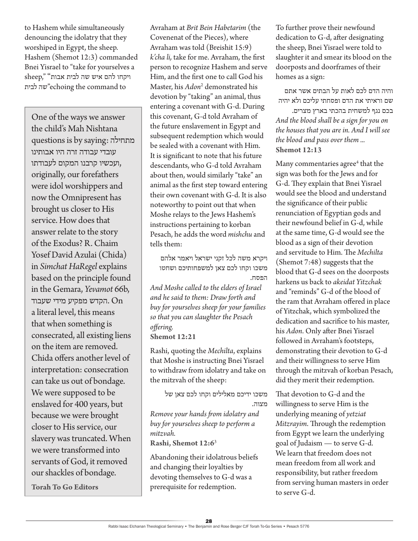to Hashem while simultaneously denouncing the idolatry that they worshiped in Egypt, the sheep. Hashem (Shemot 12:3) commanded Bnei Yisrael to "take for yourselves a ויקחו להם איש שה לבית אבות" ",sheep לבית שה"echoing the command to

One of the ways we answer the child's Mah Nishtana questions is by saying: מתחילה עובדי עבודה זרה היו אבותינו ,ועכשיו קרבנו המקום לעבודתו originally, our forefathers were idol worshippers and now the Omnipresent has brought us closer to His service. How does that answer relate to the story of the Exodus? R. Chaim Yosef David Azulai (Chida) in *Simchat HaRegel* explains based on the principle found in the Gemara, *Yevamot* 66b, הקדש מפקיע מידי שעבוד.  $On$ a literal level, this means that when something is consecrated, all existing liens on the item are removed. Chida offers another level of interpretation: consecration can take us out of bondage. We were supposed to be enslaved for 400 years, but because we were brought closer to His service, our slavery was truncated. When we were transformed into servants of God, it removed our shackles of bondage.

**Torah To Go Editors**

Avraham at *Brit Bein Habetarim* (the Covenenat of the Pieces), where Avraham was told (Breishit 15:9) *k'cha li,* take for me. Avraham, the first person to recognize Hashem and serve Him, and the first one to call God his Master, his *Adon*<sup>2</sup> demonstrated his devotion by "taking" an animal, thus entering a covenant with G-d. During this covenant, G-d told Avraham of the future enslavement in Egypt and subsequent redemption which would be sealed with a covenant with Him. It is significant to note that his future descendants, who G-d told Avraham about then, would similarly "take" an animal as the first step toward entering their own covenant with G-d. It is also noteworthy to point out that when Moshe relays to the Jews Hashem's instructions pertaining to korban Pesach, he adds the word *mishchu* and tells them:

ויקרא משה לכל זקני ישראל ויאמר אלהם משכו וקחו לכם צאן למשפחותיכם ושחטו הפסח.

*And Moshe called to the elders of Israel and he said to them: Draw forth and buy for yourselves sheep for your families so that you can slaughter the Pesach offering.* **Shemot 12:21**

Rashi, quoting the *Mechilta*, explains that Moshe is instructing Bnei Yisrael to withdraw from idolatry and take on the mitzvah of the sheep:

משכו ידיכם מאלילים וקחו לכם צאן של מצוה.

*Remove your hands from idolatry and buy for yourselves sheep to perform a mitzvah.*

**Rashi, Shemot 12:6**<sup>3</sup>

Abandoning their idolatrous beliefs and changing their loyalties by devoting themselves to G-d was a prerequisite for redemption.

To further prove their newfound dedication to G-d, after designating the sheep, Bnei Yisrael were told to slaughter it and smear its blood on the doorposts and doorframes of their homes as a sign:

והיה הדם לכם לאות על הבתים אשר אתם שם וראיתי את הדם ופסחתי עליכם ולא יהיה

בכם נגף למשחית בהכתי בארץ מצרים. *And the blood shall be a sign for you on the houses that you are in. And I will see the blood and pass over them ...* **Shemot 12:13**

Many commentaries agree<sup>4</sup> that the sign was both for the Jews and for G-d. They explain that Bnei Yisrael would see the blood and understand the significance of their public renunciation of Egyptian gods and their newfound belief in G-d, while at the same time, G-d would see the blood as a sign of their devotion and servitude to Him. The *Mechilta* (Shemot 7:48) suggests that the blood that G-d sees on the doorposts harkens us back to *akeidat Yitzchak* and "reminds" G-d of the blood of the ram that Avraham offered in place of Yitzchak, which symbolized the dedication and sacrifice to his master, his *Adon*. Only after Bnei Yisrael followed in Avraham's footsteps, demonstrating their devotion to G-d and their willingness to serve Him through the mitzvah of korban Pesach, did they merit their redemption.

That devotion to G-d and the willingness to serve Him is the underlying meaning of *yetziat Mitzrayim*. Through the redemption from Egypt we learn the underlying goal of Judaism — to serve G-d. We learn that freedom does not mean freedom from all work and responsibility, but rather freedom from serving human masters in order to serve G-d.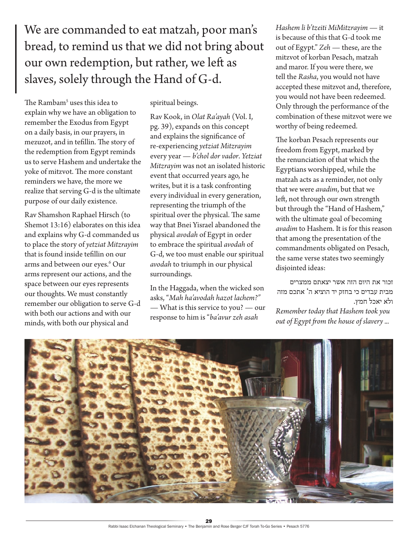We are commanded to eat matzah, poor man's bread, to remind us that we did not bring about our own redemption, but rather, we left as slaves, solely through the Hand of G-d.

The Ramba $m<sup>5</sup>$  uses this idea to explain why we have an obligation to remember the Exodus from Egypt on a daily basis, in our prayers, in mezuzot, and in tefillin. The story of the redemption from Egypt reminds us to serve Hashem and undertake the yoke of mitzvot. The more constant reminders we have, the more we realize that serving G-d is the ultimate purpose of our daily existence.

Rav Shamshon Raphael Hirsch (to Shemot 13:16) elaborates on this idea and explains why G-d commanded us to place the story of *yetziat Mitzrayim*  that is found inside tefillin on our arms and between our eyes.6 Our arms represent our actions, and the space between our eyes represents our thoughts. We must constantly remember our obligation to serve G-d with both our actions and with our minds, with both our physical and

spiritual beings.

Rav Kook, in *Olat Ra'ayah* (Vol. I, pg. 39), expands on this concept and explains the significance of re-experiencing *yetziat Mitzrayim* every year — *b'chol dor vador*. *Yetziat Mitzrayim* was not an isolated historic event that occurred years ago, he writes, but it is a task confronting every individual in every generation, representing the triumph of the spiritual over the physical. The same way that Bnei Yisrael abandoned the physical *avodah* of Egypt in order to embrace the spiritual *avodah* of G-d, we too must enable our spiritual *avodah* to triumph in our physical surroundings.

In the Haggada, when the wicked son asks, "*Mah ha'avodah hazot lachem?" —* What is this service to you? — our response to him is "*ba'avur zeh asah* 

*Hashem li b'tzeiti MiMitzrayim* — it is because of this that G-d took me out of Egypt." *Zeh* — these, are the mitzvot of korban Pesach, matzah and maror. If you were there, we tell the *Rasha*, you would not have accepted these mitzvot and, therefore, you would not have been redeemed. Only through the performance of the combination of these mitzvot were we worthy of being redeemed.

The korban Pesach represents our freedom from Egypt, marked by the renunciation of that which the Egyptians worshipped, while the matzah acts as a reminder, not only that we were *avadim*, but that we left, not through our own strength but through the "Hand of Hashem," with the ultimate goal of becoming *avadim* to Hashem. It is for this reason that among the presentation of the commandments obligated on Pesach, the same verse states two seemingly disjointed ideas:

זכור את היום הזה אשר יצאתם ממצרים מבית עבדים כי בחזק יד הוציא ה' אתכם מזה ולא יאכל חמץ. *Remember today that Hashem took you out of Egypt from the house of slavery ...*